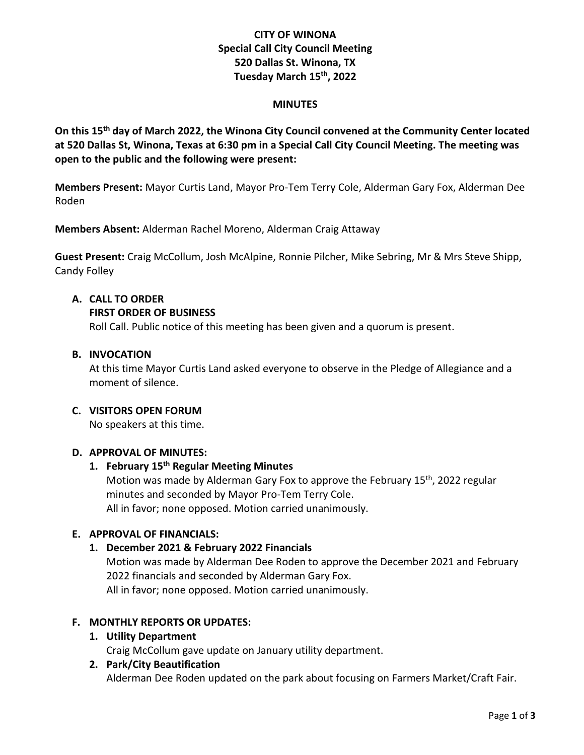# **CITY OF WINONA Special Call City Council Meeting 520 Dallas St. Winona, TX Tuesday March 15 th , 2022**

#### **MINUTES**

**On this 15 th day of March 2022, the Winona City Council convened at the Community Center located at 520 Dallas St, Winona, Texas at 6:30 pm in a Special Call City Council Meeting. The meeting was open to the public and the following were present:**

**Members Present:** Mayor Curtis Land, Mayor Pro-Tem Terry Cole, Alderman Gary Fox, Alderman Dee Roden

**Members Absent:** Alderman Rachel Moreno, Alderman Craig Attaway

**Guest Present:** Craig McCollum, Josh McAlpine, Ronnie Pilcher, Mike Sebring, Mr & Mrs Steve Shipp, Candy Folley

## **A. CALL TO ORDER**

#### **FIRST ORDER OF BUSINESS**

Roll Call. Public notice of this meeting has been given and a quorum is present.

#### **B. INVOCATION**

At this time Mayor Curtis Land asked everyone to observe in the Pledge of Allegiance and a moment of silence.

#### **C. VISITORS OPEN FORUM**

No speakers at this time.

## **D. APPROVAL OF MINUTES:**

# **1. February 15 th Regular Meeting Minutes**

Motion was made by Alderman Gary Fox to approve the February 15<sup>th</sup>, 2022 regular minutes and seconded by Mayor Pro-Tem Terry Cole. All in favor; none opposed. Motion carried unanimously.

## **E. APPROVAL OF FINANCIALS:**

## **1. December 2021 & February 2022 Financials**

Motion was made by Alderman Dee Roden to approve the December 2021 and February 2022 financials and seconded by Alderman Gary Fox.

All in favor; none opposed. Motion carried unanimously.

## **F. MONTHLY REPORTS OR UPDATES:**

## **1. Utility Department**

Craig McCollum gave update on January utility department.

#### **2. Park/City Beautification**

Alderman Dee Roden updated on the park about focusing on Farmers Market/Craft Fair.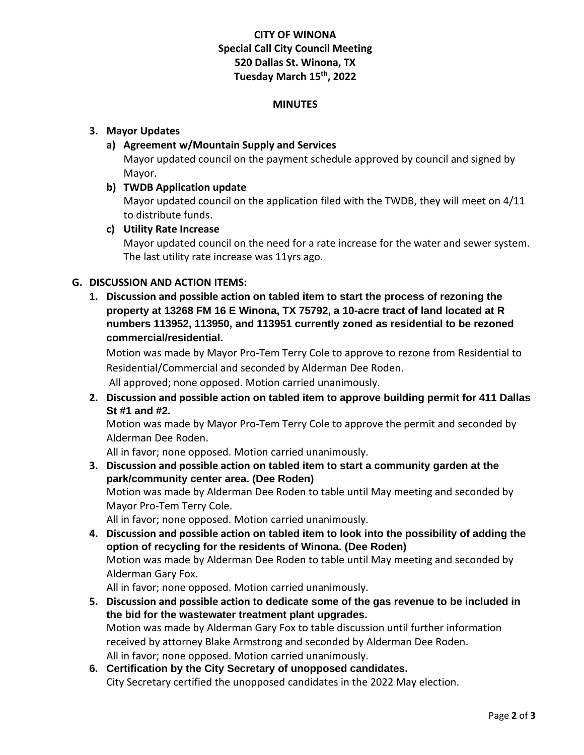# **CITY OF WINONA Special Call City Council Meeting 520 Dallas St. Winona, TX Tuesday March 15 th , 2022**

#### **MINUTES**

#### **3. Mayor Updates**

**a) Agreement w/Mountain Supply and Services**

Mayor updated council on the payment schedule approved by council and signed by Mayor.

**b) TWDB Application update**

Mayor updated council on the application filed with the TWDB, they will meet on 4/11 to distribute funds.

**c) Utility Rate Increase**

Mayor updated council on the need for a rate increase for the water and sewer system. The last utility rate increase was 11yrs ago.

# **G. DISCUSSION AND ACTION ITEMS:**

**1. Discussion and possible action on tabled item to start the process of rezoning the property at 13268 FM 16 E Winona, TX 75792, a 10-acre tract of land located at R numbers 113952, 113950, and 113951 currently zoned as residential to be rezoned commercial/residential.**

Motion was made by Mayor Pro-Tem Terry Cole to approve to rezone from Residential to Residential/Commercial and seconded by Alderman Dee Roden.

All approved; none opposed. Motion carried unanimously.

**2. Discussion and possible action on tabled item to approve building permit for 411 Dallas St #1 and #2.**

Motion was made by Mayor Pro-Tem Terry Cole to approve the permit and seconded by Alderman Dee Roden.

All in favor; none opposed. Motion carried unanimously.

- **3. Discussion and possible action on tabled item to start a community garden at the park/community center area. (Dee Roden)** Motion was made by Alderman Dee Roden to table until May meeting and seconded by Mayor Pro-Tem Terry Cole. All in favor; none opposed. Motion carried unanimously.
- **4. Discussion and possible action on tabled item to look into the possibility of adding the option of recycling for the residents of Winona. (Dee Roden)** Motion was made by Alderman Dee Roden to table until May meeting and seconded by Alderman Gary Fox.

All in favor; none opposed. Motion carried unanimously.

- **5. Discussion and possible action to dedicate some of the gas revenue to be included in the bid for the wastewater treatment plant upgrades.** Motion was made by Alderman Gary Fox to table discussion until further information received by attorney Blake Armstrong and seconded by Alderman Dee Roden. All in favor; none opposed. Motion carried unanimously.
- **6. Certification by the City Secretary of unopposed candidates.** City Secretary certified the unopposed candidates in the 2022 May election.